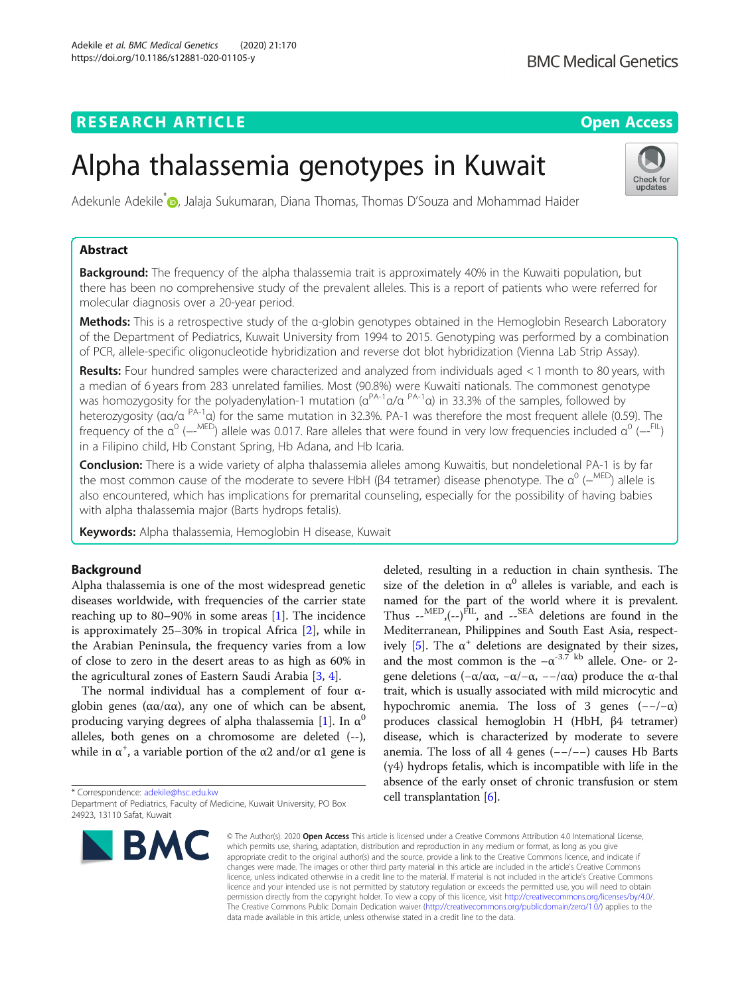# **RESEARCH ARTICLE Example 2014 12:30 The Open Access**

# Alpha thalassemia genotypes in Kuwait

Adekunle Adekile<sup>\*</sup> (D. Jalaja Sukumaran, Diana Thomas, Thomas D'Souza and Mohammad Haider

# Abstract

Background: The frequency of the alpha thalassemia trait is approximately 40% in the Kuwaiti population, but there has been no comprehensive study of the prevalent alleles. This is a report of patients who were referred for molecular diagnosis over a 20-year period.

Methods: This is a retrospective study of the α-globin genotypes obtained in the Hemoglobin Research Laboratory of the Department of Pediatrics, Kuwait University from 1994 to 2015. Genotyping was performed by a combination of PCR, allele-specific oligonucleotide hybridization and reverse dot blot hybridization (Vienna Lab Strip Assay).

Results: Four hundred samples were characterized and analyzed from individuals aged < 1 month to 80 years, with a median of 6 years from 283 unrelated families. Most (90.8%) were Kuwaiti nationals. The commonest genotype was homozygosity for the polyadenylation-1 mutation ( $\alpha^{PA-1}\alpha/\alpha^{PA-1}\alpha$ ) in 33.3% of the samples, followed by heterozygosity (αα/α PA-1α) for the same mutation in 32.3%. PA-1 was therefore the most frequent allele (0.59). The frequency of the  $\alpha^0$  (--<sup>MED</sup>) allele was 0.017. Rare alleles that were found in very low frequencies included  $\alpha^0$  (--<sup>FIL</sup>) in a Filipino child, Hb Constant Spring, Hb Adana, and Hb Icaria.

Conclusion: There is a wide variety of alpha thalassemia alleles among Kuwaitis, but nondeletional PA-1 is by far the most common cause of the moderate to severe HbH (β4 tetramer) disease phenotype. The  $\alpha^0$  ( $-^{\text{MED}}$ ) allele is also encountered, which has implications for premarital counseling, especially for the possibility of having babies with alpha thalassemia major (Barts hydrops fetalis).

Keywords: Alpha thalassemia, Hemoglobin H disease, Kuwait

# Background

Alpha thalassemia is one of the most widespread genetic diseases worldwide, with frequencies of the carrier state reaching up to 80–90% in some areas  $[1]$  $[1]$ . The incidence is approximately 25–30% in tropical Africa [\[2](#page-4-0)], while in the Arabian Peninsula, the frequency varies from a low of close to zero in the desert areas to as high as 60% in the agricultural zones of Eastern Saudi Arabia [\[3,](#page-4-0) [4\]](#page-4-0).

The normal individual has a complement of four αglobin genes ( $\alpha$ α/αα), any one of which can be absent, producing varying degrees of alpha thalassemia [\[1\]](#page-4-0). In  $\alpha^0$ alleles, both genes on a chromosome are deleted (--), while in  $\alpha^+$ , a variable portion of the  $\alpha$ 2 and/or  $\alpha$ 1 gene is

# deleted, resulting in a reduction in chain synthesis. The size of the deletion in  $\alpha^0$  alleles is variable, and each is named for the part of the world where it is prevalent. Thus  $e^{-MED}$ ,  $(-e)^{FIL}$ , and  $e^{-SEA}$  deletions are found in the Mediterranean, Philippines and South East Asia, respect-ively [\[5\]](#page-4-0). The  $\alpha^+$  deletions are designated by their sizes, and the most common is the  $-\alpha^{-3.7}$  kb allele. One- or 2gene deletions ( $-\alpha/\alpha\alpha$ ,  $-\alpha/-\alpha$ ,  $-\alpha/\alpha\alpha$ ) produce the α-thal trait, which is usually associated with mild microcytic and hypochromic anemia. The loss of 3 genes  $(-/-\alpha)$ produces classical hemoglobin H (HbH, β4 tetramer) disease, which is characterized by moderate to severe anemia. The loss of all 4 genes (−−/−−) causes Hb Barts (γ4) hydrops fetalis, which is incompatible with life in the absence of the early onset of chronic transfusion or stem cell transplantation [\[6\]](#page-4-0).

© The Author(s), 2020 **Open Access** This article is licensed under a Creative Commons Attribution 4.0 International License, which permits use, sharing, adaptation, distribution and reproduction in any medium or format, as long as you give appropriate credit to the original author(s) and the source, provide a link to the Creative Commons licence, and indicate if changes were made. The images or other third party material in this article are included in the article's Creative Commons licence, unless indicated otherwise in a credit line to the material. If material is not included in the article's Creative Commons licence and your intended use is not permitted by statutory regulation or exceeds the permitted use, you will need to obtain permission directly from the copyright holder. To view a copy of this licence, visit [http://creativecommons.org/licenses/by/4.0/.](http://creativecommons.org/licenses/by/4.0/) The Creative Commons Public Domain Dedication waiver [\(http://creativecommons.org/publicdomain/zero/1.0/](http://creativecommons.org/publicdomain/zero/1.0/)) applies to the data made available in this article, unless otherwise stated in a credit line to the data.

\* Correspondence: [adekile@hsc.edu.kw](mailto:adekile@hsc.edu.kw)

**BMC** 







Department of Pediatrics, Faculty of Medicine, Kuwait University, PO Box

<sup>24923, 13110</sup> Safat, Kuwait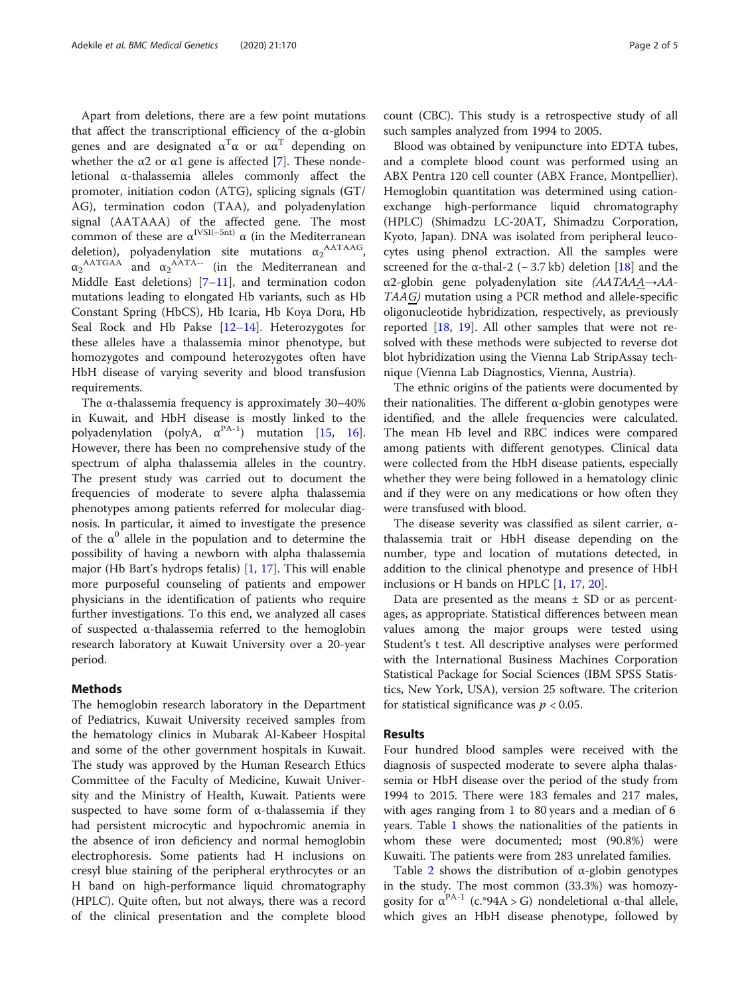Apart from deletions, there are a few point mutations that affect the transcriptional efficiency of the α-globin genes and are designated  $\alpha^T$ α or α $\alpha^T$  depending on whether the  $\alpha$ 2 or  $\alpha$ 1 gene is affected [[7\]](#page-4-0). These nondeletional α-thalassemia alleles commonly affect the promoter, initiation codon (ATG), splicing signals (GT/ AG), termination codon (TAA), and polyadenylation signal (AATAAA) of the affected gene. The most common of these are  $\alpha^{\text{IVSI}(-5nt)}$   $\alpha$  (in the Mediterranean deletion), polyadenylation site mutations  $\alpha_2^{\text{AATAAG}}$ ,  $\alpha_2^{\text{AATGAA}}$  and  $\alpha_2^{\text{AATA--}}$  (in the Mediterranean and Middle East deletions)  $[7-11]$  $[7-11]$  $[7-11]$  $[7-11]$ , and termination codon mutations leading to elongated Hb variants, such as Hb Constant Spring (HbCS), Hb Icaria, Hb Koya Dora, Hb Seal Rock and Hb Pakse [[12](#page-4-0)–[14](#page-4-0)]. Heterozygotes for these alleles have a thalassemia minor phenotype, but homozygotes and compound heterozygotes often have HbH disease of varying severity and blood transfusion requirements.

The α-thalassemia frequency is approximately 30–40% in Kuwait, and HbH disease is mostly linked to the polyadenylation (polyA,  $\alpha^{PA-1}$ ) mutation [[15,](#page-4-0) [16](#page-4-0)]. However, there has been no comprehensive study of the spectrum of alpha thalassemia alleles in the country. The present study was carried out to document the frequencies of moderate to severe alpha thalassemia phenotypes among patients referred for molecular diagnosis. In particular, it aimed to investigate the presence of the  $\alpha^0$  allele in the population and to determine the possibility of having a newborn with alpha thalassemia major (Hb Bart's hydrops fetalis) [\[1](#page-4-0), [17](#page-4-0)]. This will enable more purposeful counseling of patients and empower physicians in the identification of patients who require further investigations. To this end, we analyzed all cases of suspected α-thalassemia referred to the hemoglobin research laboratory at Kuwait University over a 20-year period.

# Methods

The hemoglobin research laboratory in the Department of Pediatrics, Kuwait University received samples from the hematology clinics in Mubarak Al-Kabeer Hospital and some of the other government hospitals in Kuwait. The study was approved by the Human Research Ethics Committee of the Faculty of Medicine, Kuwait University and the Ministry of Health, Kuwait. Patients were suspected to have some form of  $\alpha$ -thalassemia if they had persistent microcytic and hypochromic anemia in the absence of iron deficiency and normal hemoglobin electrophoresis. Some patients had H inclusions on cresyl blue staining of the peripheral erythrocytes or an H band on high-performance liquid chromatography (HPLC). Quite often, but not always, there was a record of the clinical presentation and the complete blood count (CBC). This study is a retrospective study of all such samples analyzed from 1994 to 2005.

Blood was obtained by venipuncture into EDTA tubes, and a complete blood count was performed using an ABX Pentra 120 cell counter (ABX France, Montpellier). Hemoglobin quantitation was determined using cationexchange high-performance liquid chromatography (HPLC) (Shimadzu LC-20AT, Shimadzu Corporation, Kyoto, Japan). DNA was isolated from peripheral leucocytes using phenol extraction. All the samples were screened for the  $\alpha$ -thal-2 (− 3.7 kb) deletion [\[18](#page-4-0)] and the  $\alpha$ 2-globin gene polyadenylation site (AATAAA $\rightarrow$ AA-TAAG) mutation using a PCR method and allele-specific oligonucleotide hybridization, respectively, as previously reported  $[18, 19]$  $[18, 19]$  $[18, 19]$ . All other samples that were not resolved with these methods were subjected to reverse dot blot hybridization using the Vienna Lab StripAssay technique (Vienna Lab Diagnostics, Vienna, Austria).

The ethnic origins of the patients were documented by their nationalities. The different  $α$ -globin genotypes were identified, and the allele frequencies were calculated. The mean Hb level and RBC indices were compared among patients with different genotypes. Clinical data were collected from the HbH disease patients, especially whether they were being followed in a hematology clinic and if they were on any medications or how often they were transfused with blood.

The disease severity was classified as silent carrier, αthalassemia trait or HbH disease depending on the number, type and location of mutations detected, in addition to the clinical phenotype and presence of HbH inclusions or H bands on HPLC [[1](#page-4-0), [17](#page-4-0), [20](#page-4-0)].

Data are presented as the means  $\pm$  SD or as percentages, as appropriate. Statistical differences between mean values among the major groups were tested using Student's t test. All descriptive analyses were performed with the International Business Machines Corporation Statistical Package for Social Sciences (IBM SPSS Statistics, New York, USA), version 25 software. The criterion for statistical significance was  $p < 0.05$ .

# Results

Four hundred blood samples were received with the diagnosis of suspected moderate to severe alpha thalassemia or HbH disease over the period of the study from 1994 to 2015. There were 183 females and 217 males, with ages ranging from 1 to 80 years and a median of 6 years. Table [1](#page-2-0) shows the nationalities of the patients in whom these were documented; most (90.8%) were Kuwaiti. The patients were from 283 unrelated families.

Table [2](#page-2-0) shows the distribution of  $\alpha$ -globin genotypes in the study. The most common (33.3%) was homozygosity for  $\alpha^{PA-1}$  (c.\*94A > G) nondeletional  $\alpha$ -thal allele, which gives an HbH disease phenotype, followed by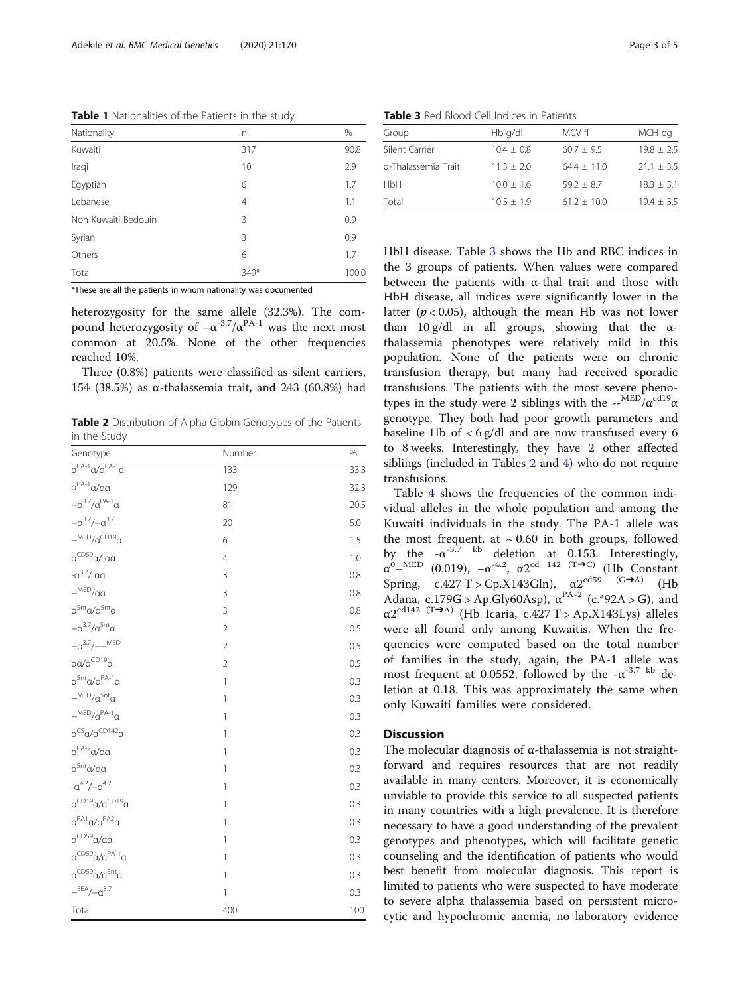<span id="page-2-0"></span>Table 1 Nationalities of the Patients in the study

| Nationality         | n              | %     |
|---------------------|----------------|-------|
| Kuwaiti             | 317            | 90.8  |
| Iraqi               | 10             | 2.9   |
| Egyptian            | 6              | 1.7   |
| Lebanese            | $\overline{4}$ | 1.1   |
| Non Kuwaiti Bedouin | 3              | 0.9   |
| Syrian              | 3              | 0.9   |
| Others              | 6              | 1.7   |
| Total               | 349*           | 100.0 |

\*These are all the patients in whom nationality was documented

heterozygosity for the same allele (32.3%). The compound heterozygosity of  $-\alpha^{-3.7}/\alpha^{PA-1}$  was the next most common at 20.5%. None of the other frequencies reached 10%.

Three (0.8%) patients were classified as silent carriers, 154 (38.5%) as α-thalassemia trait, and 243 (60.8%) had

Table 2 Distribution of Alpha Globin Genotypes of the Patients in the Study

| Genotype                                                | Number         | %    |
|---------------------------------------------------------|----------------|------|
| $\overline{\alpha^{PA-1}\alpha/\alpha^{PA-1}\alpha}$    | 133            | 33.3 |
| $\alpha^{PA-1}\alpha/\alpha\alpha$                      | 129            | 32.3 |
| $-\alpha^{3.7}/\alpha^{PA-1}\alpha$                     | 81             | 20.5 |
| $-\alpha^{3.7}/-\alpha^{3.7}$                           | 20             | 5.0  |
| $-MED/\alpha^{CD19}\alpha$                              | 6              | 1.5  |
| $\alpha^{\text{CDS9}}$ a/ aa                            | $\overline{4}$ | 1.0  |
| $-a^{3.7}/$ aa                                          | 3              | 0.8  |
| $-MED/aa$                                               | 3              | 0.8  |
| $\alpha^{5nt} \alpha / \alpha^{5nt} \alpha$             | 3              | 0.8  |
| $-\alpha^{3.7}/\alpha^{5nt}\alpha$                      | $\overline{2}$ | 0.5  |
| $-a^{3.7}/-$ MED                                        | $\overline{2}$ | 0.5  |
| $\alpha \alpha / \alpha^{\text{CD19}} \alpha$           | $\overline{2}$ | 0.5  |
| $\alpha^{5nt} \alpha / \alpha^{PA-1} \alpha$            | $\mathbf{1}$   | 0.3  |
| $-MED/a^{5nt}a$                                         | $\mathbf{1}$   | 0.3  |
| $-MED/\alpha^{PA-1}\alpha$                              | $\mathbf{1}$   | 0.3  |
| $\alpha^{CS}\alpha/\alpha^{CD142}\alpha$                | 1              | 0.3  |
| $\alpha^{PA-2}\alpha/\alpha\alpha$                      | $\mathbf{1}$   | 0.3  |
| $\alpha^{5nt}$ a/aa                                     | $\mathbf{1}$   | 0.3  |
| $-\alpha^{4.2}/-\alpha^{4.2}$                           | 1              | 0.3  |
| $\alpha^{\text{CD19}}\alpha/\alpha^{\text{CD19}}\alpha$ | $\mathbf{1}$   | 0.3  |
| $\alpha^{PA1}\alpha/\alpha^{PA2}\alpha$                 | $\mathbf{1}$   | 0.3  |
| $\alpha^{\text{CDS9}}$ a/aa                             | $\mathbf{1}$   | 0.3  |
| $\alpha^{CDS9}\alpha/\alpha^{PA-1}\alpha$               | $\mathbf{1}$   | 0.3  |
| $\alpha^{\text{CD59}}\alpha/\alpha^{\text{Snt}}\alpha$  | $\mathbf{1}$   | 0.3  |
| $-$ <sup>SEA</sup> $/-\alpha$ <sup>3.7</sup>            | $\mathbf{1}$   | 0.3  |
| Total                                                   | 400            | 100  |

Table 3 Red Blood Cell Indices in Patients

| Group               | Hb q/dl      | MCV fl        | MCH pg       |
|---------------------|--------------|---------------|--------------|
| Silent Carrier      | $10.4 + 0.8$ | $60.7 + 9.5$  | $19.8 + 2.5$ |
| a-Thalassemia Trait | $11.3 + 2.0$ | $64.4 + 11.0$ | $21.1 + 3.5$ |
| <b>HbH</b>          | $10.0 + 1.6$ | $59.2 + 8.7$  | $18.3 + 3.1$ |
| Total               | $10.5 + 1.9$ | $61.2 + 10.0$ | $19.4 + 3.5$ |

HbH disease. Table 3 shows the Hb and RBC indices in the 3 groups of patients. When values were compared between the patients with  $\alpha$ -thal trait and those with HbH disease, all indices were significantly lower in the latter ( $p < 0.05$ ), although the mean Hb was not lower than 10 g/dl in all groups, showing that the  $\alpha$ thalassemia phenotypes were relatively mild in this population. None of the patients were on chronic transfusion therapy, but many had received sporadic transfusions. The patients with the most severe phenotypes in the study were 2 siblings with the  $\frac{1}{2}$ -MED/ $\alpha$ <sup>cd19</sup> $\alpha$ genotype. They both had poor growth parameters and baseline Hb of  $\langle 6 \text{ g/d} \rangle$  and are now transfused every 6 to 8 weeks. Interestingly, they have 2 other affected siblings (included in Tables 2 and [4](#page-3-0)) who do not require transfusions.

Table [4](#page-3-0) shows the frequencies of the common individual alleles in the whole population and among the Kuwaiti individuals in the study. The PA-1 allele was the most frequent, at  $\sim 0.60$  in both groups, followed by the  $-\alpha^{-3.7}$  kb deletion at 0.153. Interestingly,  $\alpha^{0}$ -MED (0.019), - $\alpha^{-4.2}$ ,  $\alpha 2^{\text{cd}}$  142 (T $\rightarrow$ C) (Hb Constant Spring,  $c.427$  T > Cp.X143Gln),  $\alpha 2^{cd59}$  (G→A) (Hb Adana, c.179G > Ap.Gly60Asp),  $\alpha^{PA-2}$  (c.\*92A > G), and  $\alpha$ 2<sup>cd142</sup> <sup>(T→A)</sup> (Hb Icaria, c.427 T > Ap.X143Lys) alleles were all found only among Kuwaitis. When the frequencies were computed based on the total number of families in the study, again, the PA-1 allele was most frequent at 0.0552, followed by the  $-\alpha^{-3.7}$  kb deletion at 0.18. This was approximately the same when only Kuwaiti families were considered.

# **Discussion**

The molecular diagnosis of α-thalassemia is not straightforward and requires resources that are not readily available in many centers. Moreover, it is economically unviable to provide this service to all suspected patients in many countries with a high prevalence. It is therefore necessary to have a good understanding of the prevalent genotypes and phenotypes, which will facilitate genetic counseling and the identification of patients who would best benefit from molecular diagnosis. This report is limited to patients who were suspected to have moderate to severe alpha thalassemia based on persistent microcytic and hypochromic anemia, no laboratory evidence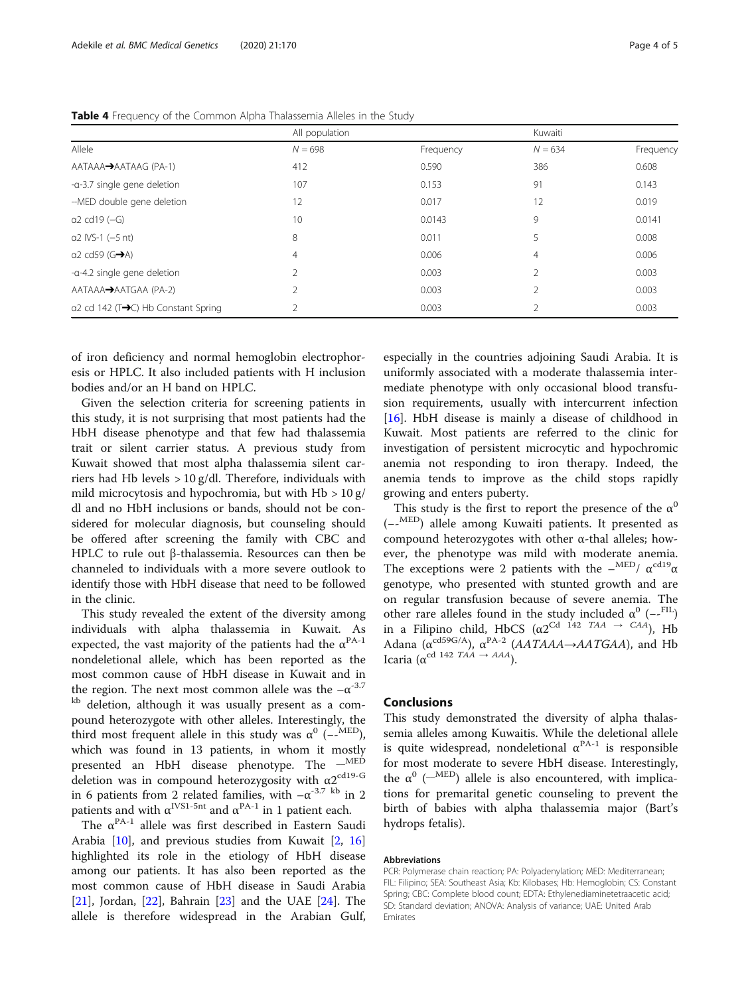| Allele                                                   | All population |           | Kuwaiti       |           |  |
|----------------------------------------------------------|----------------|-----------|---------------|-----------|--|
|                                                          | $N = 698$      | Frequency | $N = 634$     | Frequency |  |
| AATAAA→AATAAG (PA-1)                                     | 412            | 0.590     | 386           | 0.608     |  |
| -a-3.7 single gene deletion                              | 107            | 0.153     | 91            | 0.143     |  |
| --MED double gene deletion                               | 12             | 0.017     | 12            | 0.019     |  |
| $a2$ cd19 $(-G)$                                         | 10             | 0.0143    | 9             | 0.0141    |  |
| $a2$ IVS-1 $(-5$ nt)                                     | 8              | 0.011     | 5             | 0.008     |  |
| $\alpha$ 2 cd59 (G $\rightarrow$ A)                      | 4              | 0.006     | 4             | 0.006     |  |
| -a-4.2 single gene deletion                              | $\mathfrak{D}$ | 0.003     |               | 0.003     |  |
| AATAAA→AATGAA (PA-2)                                     | 2              | 0.003     | $\mathcal{P}$ | 0.003     |  |
| $\alpha$ 2 cd 142 (T $\rightarrow$ C) Hb Constant Spring | $\mathcal{P}$  | 0.003     |               | 0.003     |  |

<span id="page-3-0"></span>Table 4 Frequency of the Common Alpha Thalassemia Alleles in the Study

of iron deficiency and normal hemoglobin electrophoresis or HPLC. It also included patients with H inclusion bodies and/or an H band on HPLC.

Given the selection criteria for screening patients in this study, it is not surprising that most patients had the HbH disease phenotype and that few had thalassemia trait or silent carrier status. A previous study from Kuwait showed that most alpha thalassemia silent carriers had Hb levels  $> 10$  g/dl. Therefore, individuals with mild microcytosis and hypochromia, but with  $Hb > 10 g/$ dl and no HbH inclusions or bands, should not be considered for molecular diagnosis, but counseling should be offered after screening the family with CBC and HPLC to rule out β-thalassemia. Resources can then be channeled to individuals with a more severe outlook to identify those with HbH disease that need to be followed in the clinic.

This study revealed the extent of the diversity among individuals with alpha thalassemia in Kuwait. As expected, the vast majority of the patients had the  $\alpha^{PA-1}$ nondeletional allele, which has been reported as the most common cause of HbH disease in Kuwait and in the region. The next most common allele was the  $-\alpha^{-3.7}$ <sup>kb</sup> deletion, although it was usually present as a compound heterozygote with other alleles. Interestingly, the third most frequent allele in this study was  $\alpha^0$  (--MED), which was found in 13 patients, in whom it mostly presented an HbH disease phenotype. The  $-$ <sup>MED</sup> deletion was in compound heterozygosity with  $\alpha 2^{\text{cd19-G}}$ in 6 patients from 2 related families, with  $-\alpha^{-3.7}$  kb in 2 patients and with  $\alpha^{IVS1-5nt}$  and  $\alpha^{PA-1}$  in 1 patient each.

The  $\alpha^{\text{PA-1}}$  allele was first described in Eastern Saudi Arabia [[10\]](#page-4-0), and previous studies from Kuwait [[2,](#page-4-0) [16](#page-4-0)] highlighted its role in the etiology of HbH disease among our patients. It has also been reported as the most common cause of HbH disease in Saudi Arabia [[21\]](#page-4-0), Jordan,  $[22]$  $[22]$ , Bahrain  $[23]$  and the UAE  $[24]$  $[24]$ . The allele is therefore widespread in the Arabian Gulf,

especially in the countries adjoining Saudi Arabia. It is uniformly associated with a moderate thalassemia intermediate phenotype with only occasional blood transfusion requirements, usually with intercurrent infection [[16\]](#page-4-0). HbH disease is mainly a disease of childhood in Kuwait. Most patients are referred to the clinic for investigation of persistent microcytic and hypochromic anemia not responding to iron therapy. Indeed, the anemia tends to improve as the child stops rapidly growing and enters puberty.

This study is the first to report the presence of the  $\alpha^0$ (−- MED) allele among Kuwaiti patients. It presented as compound heterozygotes with other α-thal alleles; however, the phenotype was mild with moderate anemia. The exceptions were 2 patients with the  $-\frac{\text{MED}}{A}$   $\alpha^{\text{cd19}}\alpha$ genotype, who presented with stunted growth and are on regular transfusion because of severe anemia. The other rare alleles found in the study included  $\alpha^0$  (--FIL) in a Filipino child, HbCS ( $\alpha$ 2<sup>Cd 142</sup> TAA  $\rightarrow$  CAA), Hb Adana ( $\alpha^{cd59G/A}$ ),  $\alpha^{PA-2}$  (*AATAAA*  $\rightarrow$  *AATGAA*), and Hb Icaria ( $\alpha^{cd}$  142 TAA  $\rightarrow$  AAA).

# Conclusions

This study demonstrated the diversity of alpha thalassemia alleles among Kuwaitis. While the deletional allele is quite widespread, nondeletional  $\alpha^{PA-1}$  is responsible for most moderate to severe HbH disease. Interestingly, the  $\alpha^0$  ( $\alpha^{\text{MED}}$ ) allele is also encountered, with implications for premarital genetic counseling to prevent the birth of babies with alpha thalassemia major (Bart's hydrops fetalis).

#### Abbreviations

PCR: Polymerase chain reaction; PA: Polyadenylation; MED: Mediterranean; FIL: Filipino; SEA: Southeast Asia; Kb: Kilobases; Hb: Hemoglobin; CS: Constant Spring; CBC: Complete blood count; EDTA: Ethylenediaminetetraacetic acid; SD: Standard deviation; ANOVA: Analysis of variance; UAE: United Arab Emirates